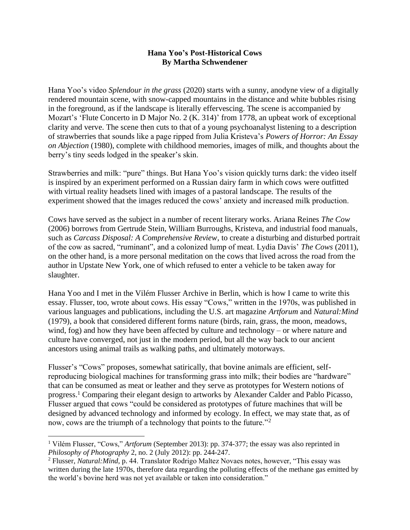## **Hana Yoo's Post-Historical Cows By Martha Schwendener**

Hana Yoo's video *Splendour in the grass* (2020) starts with a sunny, anodyne view of a digitally rendered mountain scene, with snow-capped mountains in the distance and white bubbles rising in the foreground, as if the landscape is literally effervescing. The scene is accompanied by Mozart's 'Flute Concerto in D Major No. 2 (K. 314)' from 1778, an upbeat work of exceptional clarity and verve. The scene then cuts to that of a young psychoanalyst listening to a description of strawberries that sounds like a page ripped from Julia Kristeva's *Powers of Horror: An Essay on Abjection* (1980), complete with childhood memories, images of milk, and thoughts about the berry's tiny seeds lodged in the speaker's skin.

Strawberries and milk: "pure" things. But Hana Yoo's vision quickly turns dark: the video itself is inspired by an experiment performed on a Russian dairy farm in which cows were outfitted with virtual reality headsets lined with images of a pastoral landscape. The results of the experiment showed that the images reduced the cows' anxiety and increased milk production.

Cows have served as the subject in a number of recent literary works. Ariana Reines *The Cow*  (2006) borrows from Gertrude Stein, William Burroughs, Kristeva, and industrial food manuals, such as *Carcass Disposal: A Comprehensive Review,* to create a disturbing and disturbed portrait of the cow as sacred, "ruminant", and a colonized lump of meat. Lydia Davis' *The Cows* (2011), on the other hand, is a more personal meditation on the cows that lived across the road from the author in Upstate New York, one of which refused to enter a vehicle to be taken away for slaughter.

Hana Yoo and I met in the Vilém Flusser Archive in Berlin, which is how I came to write this essay. Flusser, too, wrote about cows. His essay "Cows," written in the 1970s, was published in various languages and publications, including the U.S. art magazine *Artforum* and *Natural:Mind* (1979), a book that considered different forms nature (birds, rain, grass, the moon, meadows, wind, fog) and how they have been affected by culture and technology – or where nature and culture have converged, not just in the modern period, but all the way back to our ancient ancestors using animal trails as walking paths, and ultimately motorways.

Flusser's "Cows" proposes, somewhat satirically, that bovine animals are efficient, selfreproducing biological machines for transforming grass into milk; their bodies are "hardware" that can be consumed as meat or leather and they serve as prototypes for Western notions of progress.<sup>1</sup> Comparing their elegant design to artworks by Alexander Calder and Pablo Picasso, Flusser argued that cows "could be considered as prototypes of future machines that will be designed by advanced technology and informed by ecology. In effect, we may state that, as of now, cows are the triumph of a technology that points to the future."<sup>2</sup>

<sup>&</sup>lt;sup>1</sup> Vilém Flusser, "Cows," *Artforum* (September 2013): pp. 374-377; the essay was also reprinted in *Philosophy of Photography* 2, no. 2 (July 2012): pp. 244-247.

<sup>2</sup> Flusser, *Natural:Mind*, p. 44. Translator Rodrigo Maltez Novaes notes, however, "This essay was written during the late 1970s, therefore data regarding the polluting effects of the methane gas emitted by the world's bovine herd was not yet available or taken into consideration."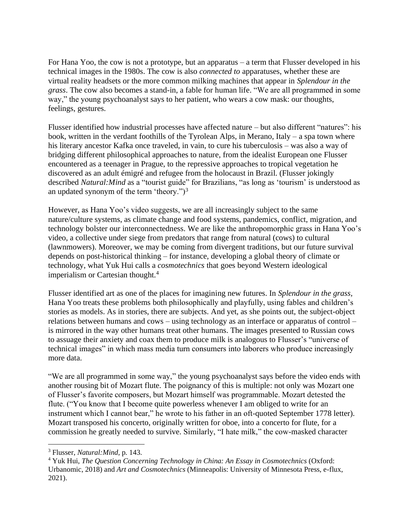For Hana Yoo, the cow is not a prototype, but an apparatus – a term that Flusser developed in his technical images in the 1980s. The cow is also *connected to* apparatuses, whether these are virtual reality headsets or the more common milking machines that appear in *Splendour in the grass*. The cow also becomes a stand-in, a fable for human life. "We are all programmed in some way," the young psychoanalyst says to her patient, who wears a cow mask: our thoughts, feelings, gestures.

Flusser identified how industrial processes have affected nature – but also different "natures": his book, written in the verdant foothills of the Tyrolean Alps, in Merano, Italy – a spa town where his literary ancestor Kafka once traveled, in vain, to cure his tuberculosis – was also a way of bridging different philosophical approaches to nature, from the idealist European one Flusser encountered as a teenager in Prague, to the repressive approaches to tropical vegetation he discovered as an adult émigré and refugee from the holocaust in Brazil. (Flusser jokingly described *Natural:Mind* as a "tourist guide" for Brazilians, "as long as 'tourism' is understood as an updated synonym of the term 'theory.")<sup>3</sup>

However, as Hana Yoo's video suggests, we are all increasingly subject to the same nature/culture systems, as climate change and food systems, pandemics, conflict, migration, and technology bolster our interconnectedness. We are like the anthropomorphic grass in Hana Yoo's video, a collective under siege from predators that range from natural (cows) to cultural (lawnmowers). Moreover, we may be coming from divergent traditions, but our future survival depends on post-historical thinking – for instance, developing a global theory of climate or technology, what Yuk Hui calls a *cosmotechnics* that goes beyond Western ideological imperialism or Cartesian thought.<sup>4</sup>

Flusser identified art as one of the places for imagining new futures. In *Splendour in the grass,*  Hana Yoo treats these problems both philosophically and playfully, using fables and children's stories as models. As in stories, there are subjects. And yet, as she points out, the subject-object relations between humans and cows – using technology as an interface or apparatus of control – is mirrored in the way other humans treat other humans. The images presented to Russian cows to assuage their anxiety and coax them to produce milk is analogous to Flusser's "universe of technical images" in which mass media turn consumers into laborers who produce increasingly more data.

"We are all programmed in some way," the young psychoanalyst says before the video ends with another rousing bit of Mozart flute. The poignancy of this is multiple: not only was Mozart one of Flusser's favorite composers, but Mozart himself was programmable. Mozart detested the flute. ("You know that I become quite powerless whenever I am obliged to write for an instrument which I cannot bear," he wrote to his father in an oft-quoted September 1778 letter). Mozart transposed his concerto, originally written for oboe, into a concerto for flute, for a commission he greatly needed to survive. Similarly, "I hate milk," the cow-masked character

<sup>3</sup> Flusser, *Natural:Mind,* p*.* 143.

<sup>4</sup> Yuk Hui, *The Question Concerning Technology in China: An Essay in Cosmotechnics* (Oxford: Urbanomic, 2018) and *Art and Cosmotechnics* (Minneapolis: University of Minnesota Press, e-flux, 2021).